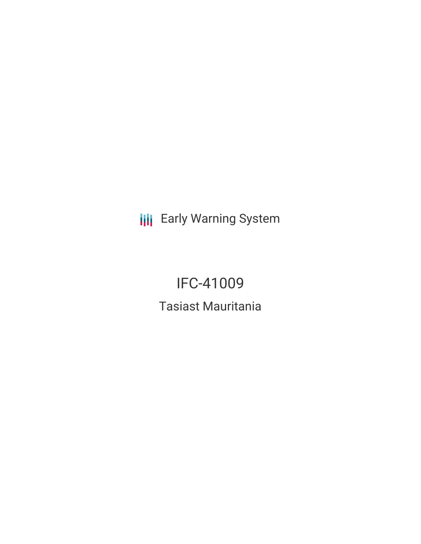**III** Early Warning System

# IFC-41009 Tasiast Mauritania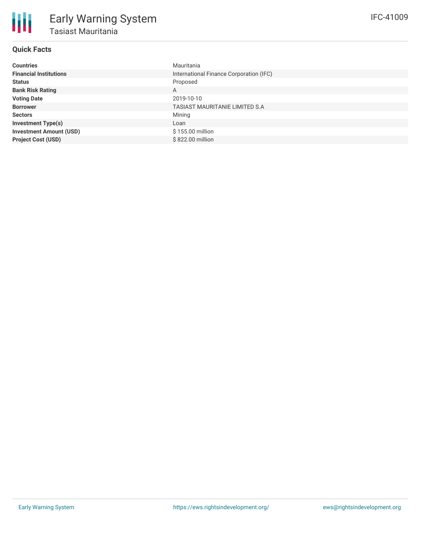### **Quick Facts**

| <b>Countries</b>               | Mauritania                              |
|--------------------------------|-----------------------------------------|
| <b>Financial Institutions</b>  | International Finance Corporation (IFC) |
| <b>Status</b>                  | Proposed                                |
| <b>Bank Risk Rating</b>        | A                                       |
| <b>Voting Date</b>             | 2019-10-10                              |
| <b>Borrower</b>                | <b>TASIAST MAURITANIE LIMITED S.A</b>   |
| <b>Sectors</b>                 | Mining                                  |
| <b>Investment Type(s)</b>      | Loan                                    |
| <b>Investment Amount (USD)</b> | \$155.00 million                        |
| <b>Project Cost (USD)</b>      | \$822,00 million                        |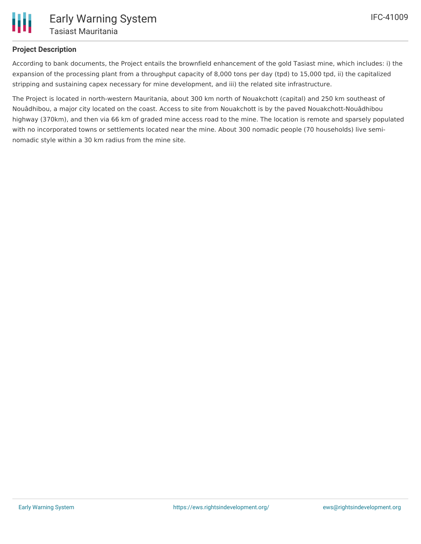

#### **Project Description**

According to bank documents, the Project entails the brownfield enhancement of the gold Tasiast mine, which includes: i) the expansion of the processing plant from a throughput capacity of 8,000 tons per day (tpd) to 15,000 tpd, ii) the capitalized stripping and sustaining capex necessary for mine development, and iii) the related site infrastructure.

The Project is located in north-western Mauritania, about 300 km north of Nouakchott (capital) and 250 km southeast of Nouâdhibou, a major city located on the coast. Access to site from Nouakchott is by the paved Nouakchott-Nouâdhibou highway (370km), and then via 66 km of graded mine access road to the mine. The location is remote and sparsely populated with no incorporated towns or settlements located near the mine. About 300 nomadic people (70 households) live seminomadic style within a 30 km radius from the mine site.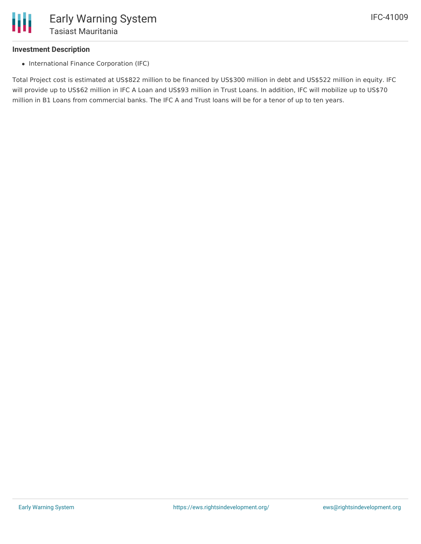#### **Investment Description**

• International Finance Corporation (IFC)

Total Project cost is estimated at US\$822 million to be financed by US\$300 million in debt and US\$522 million in equity. IFC will provide up to US\$62 million in IFC A Loan and US\$93 million in Trust Loans. In addition, IFC will mobilize up to US\$70 million in B1 Loans from commercial banks. The IFC A and Trust loans will be for a tenor of up to ten years.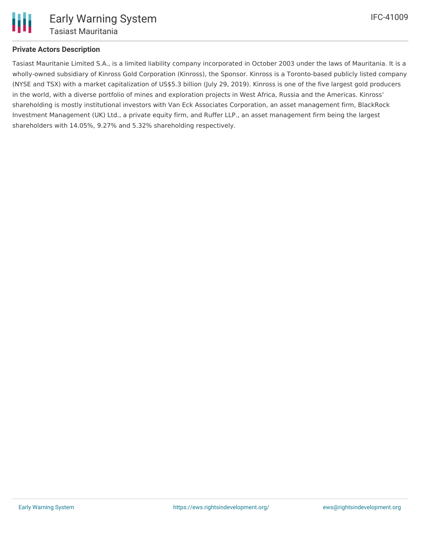

#### **Private Actors Description**

Tasiast Mauritanie Limited S.A., is a limited liability company incorporated in October 2003 under the laws of Mauritania. It is a wholly-owned subsidiary of Kinross Gold Corporation (Kinross), the Sponsor. Kinross is a Toronto-based publicly listed company (NYSE and TSX) with a market capitalization of US\$5.3 billion (July 29, 2019). Kinross is one of the five largest gold producers in the world, with a diverse portfolio of mines and exploration projects in West Africa, Russia and the Americas. Kinross' shareholding is mostly institutional investors with Van Eck Associates Corporation, an asset management firm, BlackRock Investment Management (UK) Ltd., a private equity firm, and Ruffer LLP., an asset management firm being the largest shareholders with 14.05%, 9.27% and 5.32% shareholding respectively.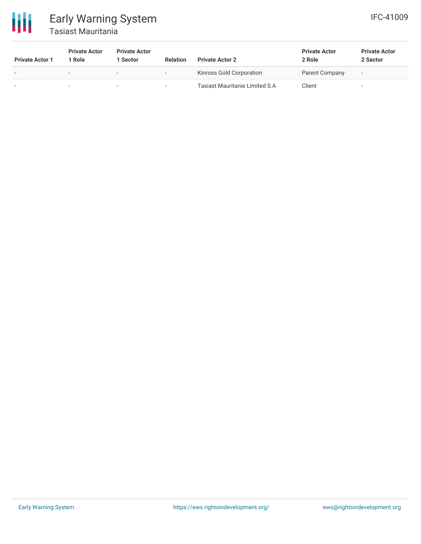

## Early Warning System Tasiast Mauritania

| <b>Private Actor 1</b> | <b>Private Actor</b><br>1 Role | <b>Private Actor</b><br>Sector | <b>Relation</b> | <b>Private Actor 2</b>                 | <b>Private Actor</b><br>2 Role | <b>Private Actor</b><br>2 Sector |
|------------------------|--------------------------------|--------------------------------|-----------------|----------------------------------------|--------------------------------|----------------------------------|
| $\sim$                 | $\overline{\phantom{a}}$       | -                              |                 | Kinross Gold Corporation               | Parent Company                 | $\overline{\phantom{a}}$         |
|                        |                                |                                |                 | <b>Tasiast Mauritanie Limited S.A.</b> | Client                         | $\overline{\phantom{a}}$         |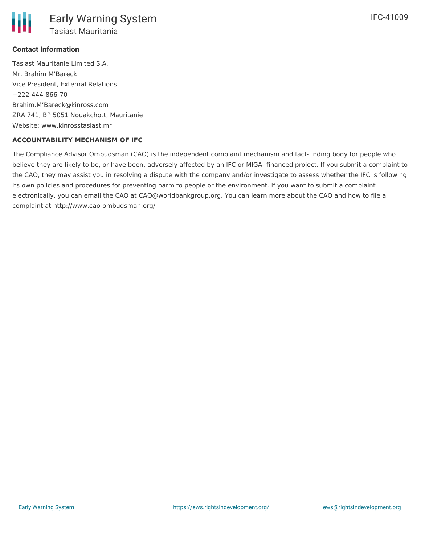#### **Contact Information**

Tasiast Mauritanie Limited S.A. Mr. Brahim M'Bareck Vice President, External Relations +222-444-866-70 Brahim.M'Bareck@kinross.com ZRA 741, BP 5051 Nouakchott, Mauritanie Website: www.kinrosstasiast.mr

#### **ACCOUNTABILITY MECHANISM OF IFC**

The Compliance Advisor Ombudsman (CAO) is the independent complaint mechanism and fact-finding body for people who believe they are likely to be, or have been, adversely affected by an IFC or MIGA- financed project. If you submit a complaint to the CAO, they may assist you in resolving a dispute with the company and/or investigate to assess whether the IFC is following its own policies and procedures for preventing harm to people or the environment. If you want to submit a complaint electronically, you can email the CAO at CAO@worldbankgroup.org. You can learn more about the CAO and how to file a complaint at http://www.cao-ombudsman.org/